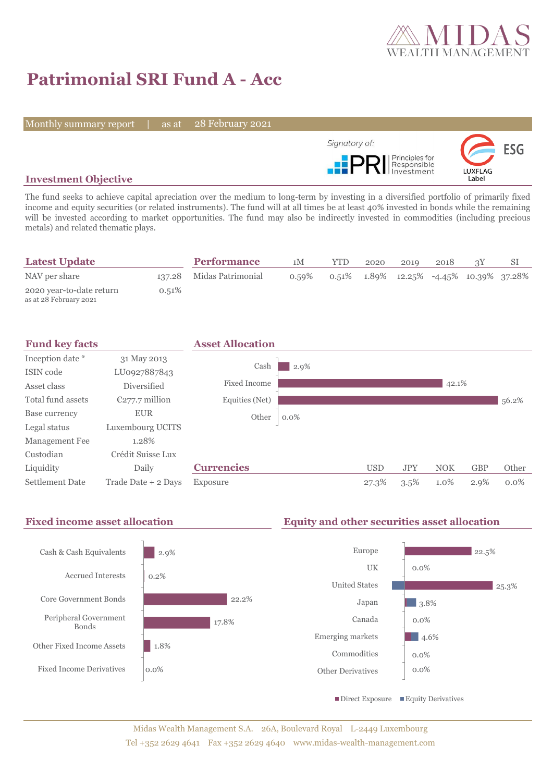

# **Patrimonial SRI Fund A - Acc**

Monthly summary report | as at

28 February 2021



# **Investment Objective**

The fund seeks to achieve capital apreciation over the medium to long-term by investing in a diversified portfolio of primarily fixed income and equity securities (or related instruments). The fund will at all times be at least 40% invested in bonds while the remaining will be invested according to market opportunities. The fund may also be indirectly invested in commodities (including precious metals) and related thematic plays.

| <b>Latest Update</b>                               |       | <b>Performance</b>       | 1M    | YTD | 2020 | 2010                                                      | 2018 |  |
|----------------------------------------------------|-------|--------------------------|-------|-----|------|-----------------------------------------------------------|------|--|
| NAV per share                                      |       | 137.28 Midas Patrimonial | 0.59% |     |      | $0.51\%$ $1.89\%$ $12.25\%$ $-4.45\%$ $10.39\%$ $37.28\%$ |      |  |
| 2020 year-to-date return<br>as at 28 February 2021 | 0.51% |                          |       |     |      |                                                           |      |  |



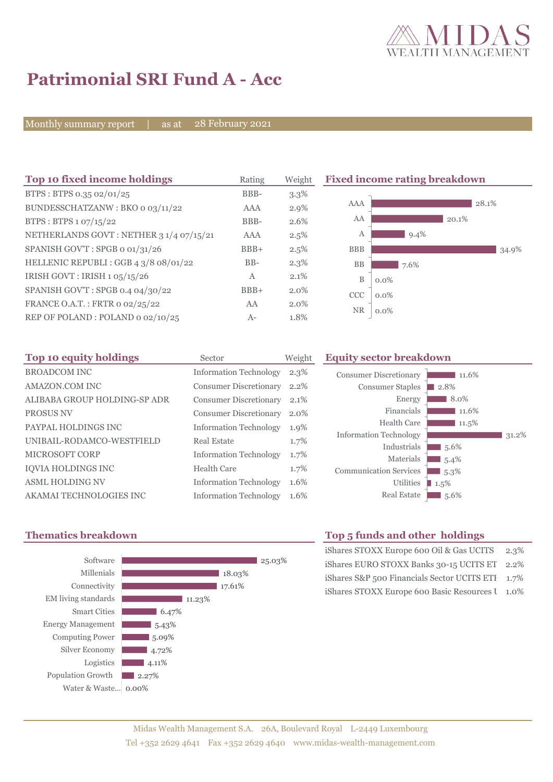

# **Patrimonial SRI Fund A - Acc**

Monthly summary report as at

28 February 2021

| Top 10 fixed income holdings            | Rating       | Weight  | <b>Fixed income rating breakdown</b> |         |
|-----------------------------------------|--------------|---------|--------------------------------------|---------|
| BTPS: BTPS 0.35 02/01/25                | BBB-         | $3.3\%$ |                                      |         |
| BUNDESSCHATZANW: BKO o 03/11/22         | <b>AAA</b>   | $2.9\%$ | AAA                                  | 28.1%   |
| BTPS: BTPS 1 07/15/22                   | BBB-         | 2.6%    | AA                                   | 20.1%   |
| NETHERLANDS GOVT: NETHER 3 1/4 07/15/21 | AAA          | 2.5%    | A                                    | $9.4\%$ |
| SPANISH GOV'T: SPGB o 01/31/26          | $BBB+$       | 2.5%    | <b>BBB</b>                           | 34.9%   |
| HELLENIC REPUBLI: GGB 4 3/8 08/01/22    | $BB-$        | $2.3\%$ | <b>BB</b><br>7.6%                    |         |
| IRISH GOVT : IRISH $1.05/15/26$         | $\mathbf{A}$ | 2.1%    | B<br>$0.0\%$                         |         |
| SPANISH GOV'T: SPGB 0.4 04/30/22        | $BBB+$       | $2.0\%$ | CCC<br>$0.0\%$                       |         |
| FRANCE O.A.T.: FRTR 0 02/25/22          | AA           | $2.0\%$ |                                      |         |
| REP OF POLAND: POLAND 0 02/10/25        | $A-$         | 1.8%    | <b>NR</b><br>$0.0\%$                 |         |

| Top 10 equity holdings       | Sector                        | Weight |
|------------------------------|-------------------------------|--------|
| <b>BROADCOM INC</b>          | <b>Information Technology</b> | 2.3%   |
| AMAZON.COM INC               | <b>Consumer Discretionary</b> | 2.2%   |
| ALIBABA GROUP HOLDING-SP ADR | <b>Consumer Discretionary</b> | 2.1%   |
| <b>PROSUS NV</b>             | <b>Consumer Discretionary</b> | 2.0%   |
| PAYPAL HOLDINGS INC          | <b>Information Technology</b> | 1.9%   |
| UNIBAIL-RODAMCO-WESTFIELD    | Real Estate                   | 1.7%   |
| MICROSOFT CORP               | <b>Information Technology</b> | 1.7%   |
| IQVIA HOLDINGS INC           | Health Care                   | 1.7%   |
| <b>ASML HOLDING NV</b>       | <b>Information Technology</b> | 1.6%   |
| AKAMAI TECHNOLOGIES INC      | <b>Information Technology</b> | 1.6%   |

### **Equity sector breakdown**





# **Thematics breakdown Top 5 funds and other holdings**

| iShares STOXX Europe 600 Oil & Gas UCITS 2.3%    |  |
|--------------------------------------------------|--|
| iShares EURO STOXX Banks 30-15 UCITS ET 2.2%     |  |
| iShares S&P 500 Financials Sector UCITS ETI 1.7% |  |
| iShares STOXX Europe 600 Basic Resources I 1.0%  |  |